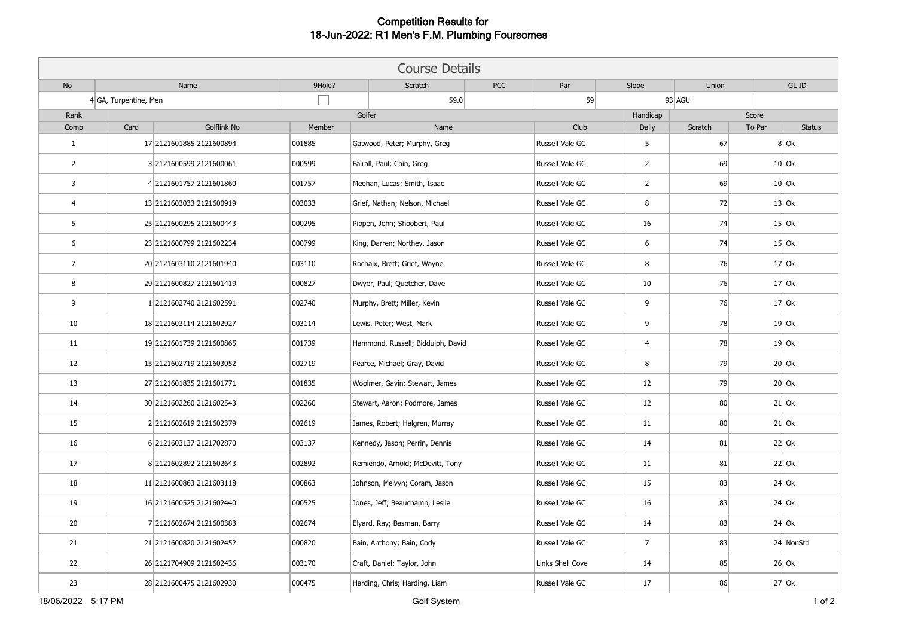## **Competition Results for 18-Jun-2022: R1 Men's F.M. Plumbing Foursomes**

| <b>Course Details</b> |                       |                          |        |                                   |  |                  |                |         |        |               |  |
|-----------------------|-----------------------|--------------------------|--------|-----------------------------------|--|------------------|----------------|---------|--------|---------------|--|
| No                    |                       | Name                     | 9Hole? | <b>PCC</b><br>Scratch             |  | Par              | Slope          | Union   | GL ID  |               |  |
|                       | 4 GA, Turpentine, Men |                          |        | 59.0                              |  |                  |                | 93 AGU  |        |               |  |
| Rank                  |                       |                          |        | Golfer                            |  | Handicap         |                | Score   |        |               |  |
| Comp                  | Card                  | Golflink No              | Member | Name                              |  | Club             | Daily          | Scratch | To Par | <b>Status</b> |  |
| $\mathbf{1}$          |                       | 17 2121601885 2121600894 | 001885 | Gatwood, Peter; Murphy, Greg      |  | Russell Vale GC  | 5              | 67      |        | $8$ Ok        |  |
| $\overline{2}$        |                       | 3 2121600599 2121600061  | 000599 | Fairall, Paul; Chin, Greg         |  | Russell Vale GC  | $\overline{2}$ | 69      |        | $10$ Ok       |  |
| $\overline{3}$        |                       | 4 2121601757 2121601860  | 001757 | Meehan, Lucas; Smith, Isaac       |  | Russell Vale GC  | $\overline{2}$ | 69      |        | $10$ Ok       |  |
| $\overline{4}$        |                       | 13 2121603033 2121600919 | 003033 | Grief, Nathan; Nelson, Michael    |  | Russell Vale GC  | 8              | 72      |        | $13$ Ok       |  |
| 5                     |                       | 25 2121600295 2121600443 | 000295 | Pippen, John; Shoobert, Paul      |  | Russell Vale GC  | 16             | 74      |        | $15$ Ok       |  |
| 6                     |                       | 23 2121600799 2121602234 | 000799 | King, Darren; Northey, Jason      |  | Russell Vale GC  | 6              | 74      |        | $15$ Ok       |  |
| $\overline{7}$        |                       | 20 2121603110 2121601940 | 003110 | Rochaix, Brett; Grief, Wayne      |  | Russell Vale GC  | 8              | 76      |        | $17$ Ok       |  |
| 8                     |                       | 29 2121600827 2121601419 | 000827 | Dwyer, Paul; Quetcher, Dave       |  | Russell Vale GC  | 10             | 76      |        | $17$ Ok       |  |
| 9                     |                       | 1 2121602740 2121602591  | 002740 | Murphy, Brett; Miller, Kevin      |  | Russell Vale GC  | 9              | 76      |        | $17$ Ok       |  |
| 10                    |                       | 18 2121603114 2121602927 | 003114 | Lewis, Peter; West, Mark          |  | Russell Vale GC  | 9              | 78      |        | $19$ Ok       |  |
| 11                    |                       | 19 2121601739 2121600865 | 001739 | Hammond, Russell; Biddulph, David |  | Russell Vale GC  | 4              | 78      |        | $19$ Ok       |  |
| 12                    |                       | 15 2121602719 2121603052 | 002719 | Pearce, Michael; Gray, David      |  | Russell Vale GC  | 8              | 79      |        | $20$ Ok       |  |
| 13                    |                       | 27 2121601835 2121601771 | 001835 | Woolmer, Gavin; Stewart, James    |  | Russell Vale GC  | 12             | 79      |        | $20$ Ok       |  |
| 14                    |                       | 30 2121602260 2121602543 | 002260 | Stewart, Aaron; Podmore, James    |  | Russell Vale GC  | 12             | 80      |        | $21$ Ok       |  |
| 15                    |                       | 2 2121602619 2121602379  | 002619 | James, Robert; Halgren, Murray    |  | Russell Vale GC  | 11             | 80      |        | $21$ Ok       |  |
| 16                    |                       | 6 2121603137 2121702870  | 003137 | Kennedy, Jason; Perrin, Dennis    |  | Russell Vale GC  | 14             | 81      |        | $22$ Ok       |  |
| 17                    |                       | 8 2121602892 2121602643  | 002892 | Remiendo, Arnold; McDevitt, Tony  |  | Russell Vale GC  | 11             | 81      |        | $22$ Ok       |  |
| 18                    |                       | 11 2121600863 2121603118 | 000863 | Johnson, Melvyn; Coram, Jason     |  | Russell Vale GC  | 15             | 83      |        | $24$ Ok       |  |
| 19                    |                       | 16 2121600525 2121602440 | 000525 | Jones, Jeff; Beauchamp, Leslie    |  | Russell Vale GC  | 16             | 83      |        | $24$ Ok       |  |
| 20                    |                       | 7 2121602674 2121600383  | 002674 | Elyard, Ray; Basman, Barry        |  | Russell Vale GC  | 14             | 83      |        | $24$ Ok       |  |
| 21                    |                       | 21 2121600820 2121602452 | 000820 | Bain, Anthony; Bain, Cody         |  | Russell Vale GC  | $\overline{7}$ | 83      |        | 24 NonStd     |  |
| 22                    |                       | 26 2121704909 2121602436 | 003170 | Craft, Daniel; Taylor, John       |  | Links Shell Cove | 14             | 85      |        | $26$ Ok       |  |
| 23                    |                       | 28 2121600475 2121602930 | 000475 | Harding, Chris; Harding, Liam     |  | Russell Vale GC  | 17             | 86      |        | $27$ Ok       |  |
| 18/06/2022 5:17 PM    |                       |                          |        | Golf System                       |  |                  |                |         |        | $1$ of $2$    |  |